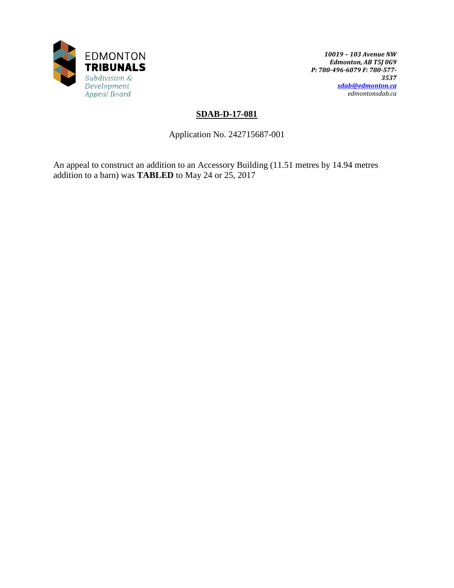

*10019 – 103 Avenue NW Edmonton, AB T5J 0G9 P: 780-496-6079 F: 780-577- 3537 [sdab@edmonton.ca](mailto:sdab@edmonton.ca) edmontonsdab.ca*

# **SDAB-D-17-081**

Application No. 242715687-001

An appeal to construct an addition to an Accessory Building (11.51 metres by 14.94 metres addition to a barn) was **TABLED** to May 24 or 25, 2017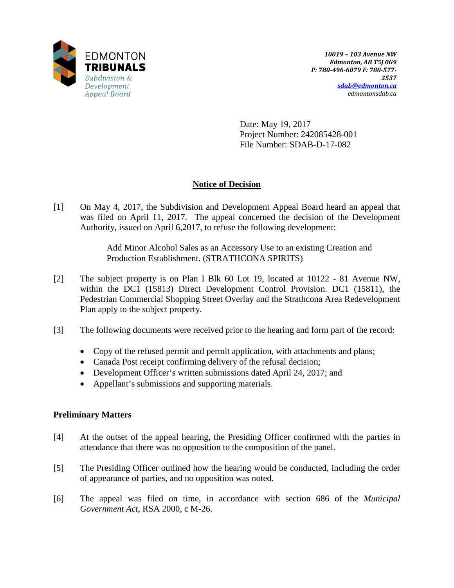

Date: May 19, 2017 Project Number: 242085428-001 File Number: SDAB-D-17-082

# **Notice of Decision**

[1] On May 4, 2017, the Subdivision and Development Appeal Board heard an appeal that was filed on April 11, 2017. The appeal concerned the decision of the Development Authority, issued on April 6,2017, to refuse the following development:

> Add Minor Alcohol Sales as an Accessory Use to an existing Creation and Production Establishment. (STRATHCONA SPIRITS)

- [2] The subject property is on Plan I Blk 60 Lot 19, located at 10122 81 Avenue NW, within the DC1 (15813) Direct Development Control Provision. DC1 (15811), the Pedestrian Commercial Shopping Street Overlay and the Strathcona Area Redevelopment Plan apply to the subject property.
- [3] The following documents were received prior to the hearing and form part of the record:
	- Copy of the refused permit and permit application, with attachments and plans;
	- Canada Post receipt confirming delivery of the refusal decision;
	- Development Officer's written submissions dated April 24, 2017; and
	- Appellant's submissions and supporting materials.

## **Preliminary Matters**

- [4] At the outset of the appeal hearing, the Presiding Officer confirmed with the parties in attendance that there was no opposition to the composition of the panel.
- [5] The Presiding Officer outlined how the hearing would be conducted, including the order of appearance of parties, and no opposition was noted.
- [6] The appeal was filed on time, in accordance with section 686 of the *Municipal Government Act*, RSA 2000, c M-26.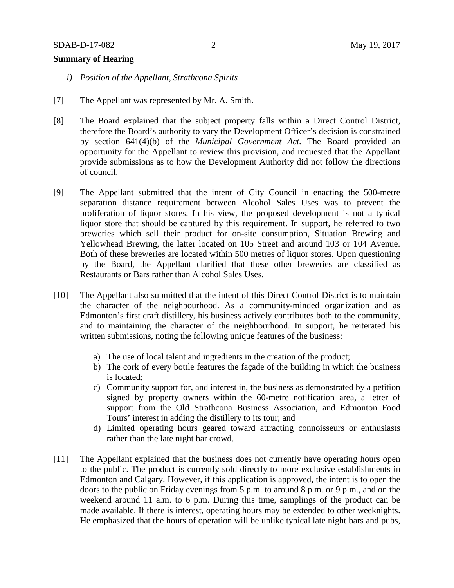#### **Summary of Hearing**

- *i) Position of the Appellant, Strathcona Spirits*
- [7] The Appellant was represented by Mr. A. Smith.
- [8] The Board explained that the subject property falls within a Direct Control District, therefore the Board's authority to vary the Development Officer's decision is constrained by section 641(4)(b) of the *Municipal Government Act.* The Board provided an opportunity for the Appellant to review this provision, and requested that the Appellant provide submissions as to how the Development Authority did not follow the directions of council.
- [9] The Appellant submitted that the intent of City Council in enacting the 500-metre separation distance requirement between Alcohol Sales Uses was to prevent the proliferation of liquor stores. In his view, the proposed development is not a typical liquor store that should be captured by this requirement. In support, he referred to two breweries which sell their product for on-site consumption, Situation Brewing and Yellowhead Brewing, the latter located on 105 Street and around 103 or 104 Avenue. Both of these breweries are located within 500 metres of liquor stores. Upon questioning by the Board, the Appellant clarified that these other breweries are classified as Restaurants or Bars rather than Alcohol Sales Uses.
- [10] The Appellant also submitted that the intent of this Direct Control District is to maintain the character of the neighbourhood. As a community-minded organization and as Edmonton's first craft distillery, his business actively contributes both to the community, and to maintaining the character of the neighbourhood. In support, he reiterated his written submissions, noting the following unique features of the business:
	- a) The use of local talent and ingredients in the creation of the product;
	- b) The cork of every bottle features the façade of the building in which the business is located;
	- c) Community support for, and interest in, the business as demonstrated by a petition signed by property owners within the 60-metre notification area, a letter of support from the Old Strathcona Business Association, and Edmonton Food Tours' interest in adding the distillery to its tour; and
	- d) Limited operating hours geared toward attracting connoisseurs or enthusiasts rather than the late night bar crowd.
- [11] The Appellant explained that the business does not currently have operating hours open to the public. The product is currently sold directly to more exclusive establishments in Edmonton and Calgary. However, if this application is approved, the intent is to open the doors to the public on Friday evenings from 5 p.m. to around 8 p.m. or 9 p.m., and on the weekend around 11 a.m. to 6 p.m. During this time, samplings of the product can be made available. If there is interest, operating hours may be extended to other weeknights. He emphasized that the hours of operation will be unlike typical late night bars and pubs,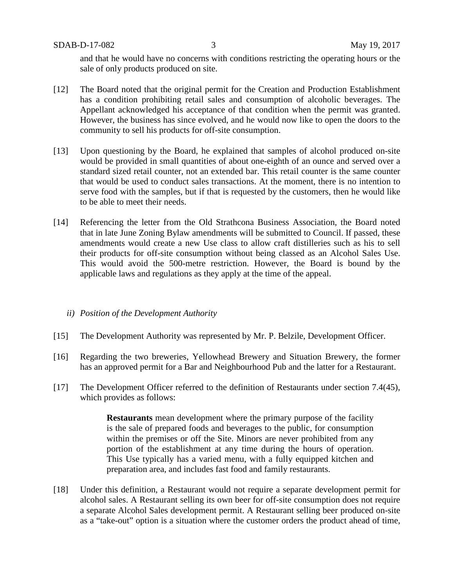SDAB-D-17-082 3 May 19, 2017

and that he would have no concerns with conditions restricting the operating hours or the sale of only products produced on site.

- [12] The Board noted that the original permit for the Creation and Production Establishment has a condition prohibiting retail sales and consumption of alcoholic beverages. The Appellant acknowledged his acceptance of that condition when the permit was granted. However, the business has since evolved, and he would now like to open the doors to the community to sell his products for off-site consumption.
- [13] Upon questioning by the Board, he explained that samples of alcohol produced on-site would be provided in small quantities of about one-eighth of an ounce and served over a standard sized retail counter, not an extended bar. This retail counter is the same counter that would be used to conduct sales transactions. At the moment, there is no intention to serve food with the samples, but if that is requested by the customers, then he would like to be able to meet their needs.
- [14] Referencing the letter from the Old Strathcona Business Association, the Board noted that in late June Zoning Bylaw amendments will be submitted to Council. If passed, these amendments would create a new Use class to allow craft distilleries such as his to sell their products for off-site consumption without being classed as an Alcohol Sales Use. This would avoid the 500-metre restriction. However, the Board is bound by the applicable laws and regulations as they apply at the time of the appeal.

## *ii) Position of the Development Authority*

- [15] The Development Authority was represented by Mr. P. Belzile, Development Officer.
- [16] Regarding the two breweries, Yellowhead Brewery and Situation Brewery, the former has an approved permit for a Bar and Neighbourhood Pub and the latter for a Restaurant.
- [17] The Development Officer referred to the definition of Restaurants under section 7.4(45), which provides as follows:

**Restaurants** mean development where the primary purpose of the facility is the sale of prepared foods and beverages to the public, for consumption within the premises or off the Site. Minors are never prohibited from any portion of the establishment at any time during the hours of operation. This Use typically has a varied menu, with a fully equipped kitchen and preparation area, and includes fast food and family restaurants.

[18] Under this definition, a Restaurant would not require a separate development permit for alcohol sales. A Restaurant selling its own beer for off-site consumption does not require a separate Alcohol Sales development permit. A Restaurant selling beer produced on-site as a "take-out" option is a situation where the customer orders the product ahead of time,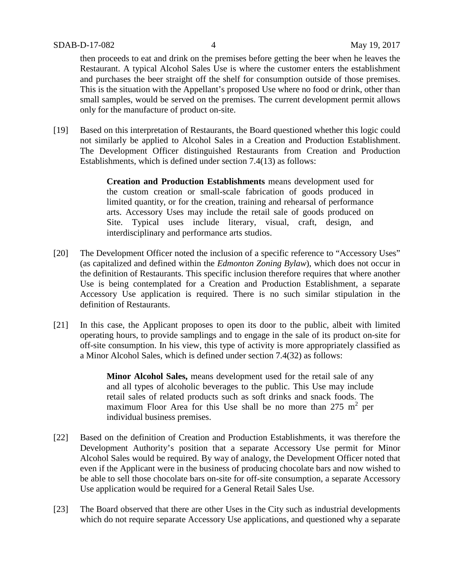then proceeds to eat and drink on the premises before getting the beer when he leaves the Restaurant. A typical Alcohol Sales Use is where the customer enters the establishment and purchases the beer straight off the shelf for consumption outside of those premises. This is the situation with the Appellant's proposed Use where no food or drink, other than small samples, would be served on the premises. The current development permit allows only for the manufacture of product on-site.

[19] Based on this interpretation of Restaurants, the Board questioned whether this logic could not similarly be applied to Alcohol Sales in a Creation and Production Establishment. The Development Officer distinguished Restaurants from Creation and Production Establishments, which is defined under section 7.4(13) as follows:

> **Creation and Production Establishments** means development used for the custom creation or small-scale fabrication of goods produced in limited quantity, or for the creation, training and rehearsal of performance arts. Accessory Uses may include the retail sale of goods produced on Site. Typical uses include literary, visual, craft, design, and interdisciplinary and performance arts studios.

- [20] The Development Officer noted the inclusion of a specific reference to "Accessory Uses" (as capitalized and defined within the *Edmonton Zoning Bylaw*), which does not occur in the definition of Restaurants. This specific inclusion therefore requires that where another Use is being contemplated for a Creation and Production Establishment, a separate Accessory Use application is required. There is no such similar stipulation in the definition of Restaurants.
- [21] In this case, the Applicant proposes to open its door to the public, albeit with limited operating hours, to provide samplings and to engage in the sale of its product on-site for off-site consumption. In his view, this type of activity is more appropriately classified as a Minor Alcohol Sales, which is defined under section 7.4(32) as follows:

**Minor Alcohol Sales,** means development used for the retail sale of any and all types of alcoholic beverages to the public. This Use may include retail sales of related products such as soft drinks and snack foods. The maximum Floor Area for this Use shall be no more than  $275 \text{ m}^2$  per individual business premises.

- [22] Based on the definition of Creation and Production Establishments, it was therefore the Development Authority's position that a separate Accessory Use permit for Minor Alcohol Sales would be required. By way of analogy, the Development Officer noted that even if the Applicant were in the business of producing chocolate bars and now wished to be able to sell those chocolate bars on-site for off-site consumption, a separate Accessory Use application would be required for a General Retail Sales Use.
- [23] The Board observed that there are other Uses in the City such as industrial developments which do not require separate Accessory Use applications, and questioned why a separate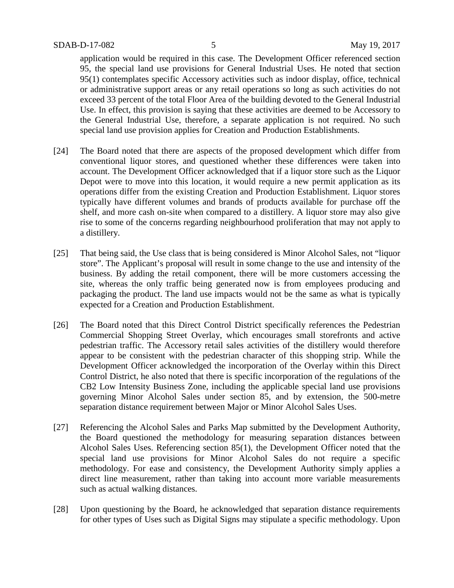application would be required in this case. The Development Officer referenced section 95, the special land use provisions for General Industrial Uses. He noted that section 95(1) contemplates specific Accessory activities such as indoor display, office, technical or administrative support areas or any retail operations so long as such activities do not exceed 33 percent of the total Floor Area of the building devoted to the General Industrial Use. In effect, this provision is saying that these activities are deemed to be Accessory to the General Industrial Use, therefore, a separate application is not required. No such special land use provision applies for Creation and Production Establishments.

- [24] The Board noted that there are aspects of the proposed development which differ from conventional liquor stores, and questioned whether these differences were taken into account. The Development Officer acknowledged that if a liquor store such as the Liquor Depot were to move into this location, it would require a new permit application as its operations differ from the existing Creation and Production Establishment. Liquor stores typically have different volumes and brands of products available for purchase off the shelf, and more cash on-site when compared to a distillery. A liquor store may also give rise to some of the concerns regarding neighbourhood proliferation that may not apply to a distillery.
- [25] That being said, the Use class that is being considered is Minor Alcohol Sales, not "liquor store". The Applicant's proposal will result in some change to the use and intensity of the business. By adding the retail component, there will be more customers accessing the site, whereas the only traffic being generated now is from employees producing and packaging the product. The land use impacts would not be the same as what is typically expected for a Creation and Production Establishment.
- [26] The Board noted that this Direct Control District specifically references the Pedestrian Commercial Shopping Street Overlay, which encourages small storefronts and active pedestrian traffic. The Accessory retail sales activities of the distillery would therefore appear to be consistent with the pedestrian character of this shopping strip. While the Development Officer acknowledged the incorporation of the Overlay within this Direct Control District, he also noted that there is specific incorporation of the regulations of the CB2 Low Intensity Business Zone, including the applicable special land use provisions governing Minor Alcohol Sales under section 85, and by extension, the 500-metre separation distance requirement between Major or Minor Alcohol Sales Uses.
- [27] Referencing the Alcohol Sales and Parks Map submitted by the Development Authority, the Board questioned the methodology for measuring separation distances between Alcohol Sales Uses. Referencing section 85(1), the Development Officer noted that the special land use provisions for Minor Alcohol Sales do not require a specific methodology. For ease and consistency, the Development Authority simply applies a direct line measurement, rather than taking into account more variable measurements such as actual walking distances.
- [28] Upon questioning by the Board, he acknowledged that separation distance requirements for other types of Uses such as Digital Signs may stipulate a specific methodology. Upon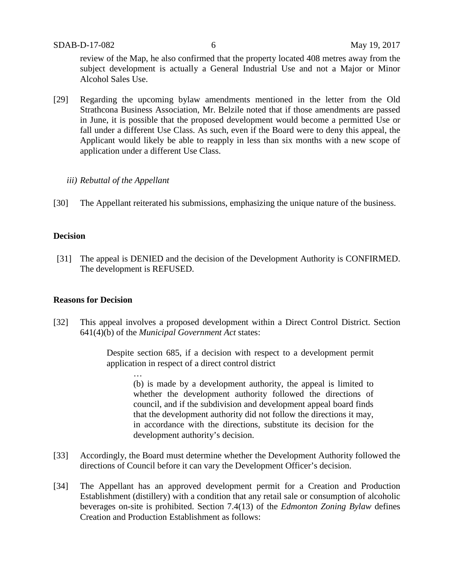review of the Map, he also confirmed that the property located 408 metres away from the subject development is actually a General Industrial Use and not a Major or Minor Alcohol Sales Use.

[29] Regarding the upcoming bylaw amendments mentioned in the letter from the Old Strathcona Business Association, Mr. Belzile noted that if those amendments are passed in June, it is possible that the proposed development would become a permitted Use or fall under a different Use Class. As such, even if the Board were to deny this appeal, the Applicant would likely be able to reapply in less than six months with a new scope of application under a different Use Class.

# *iii) Rebuttal of the Appellant*

[30] The Appellant reiterated his submissions, emphasizing the unique nature of the business.

## **Decision**

[31] The appeal is DENIED and the decision of the Development Authority is CONFIRMED. The development is REFUSED.

## **Reasons for Decision**

[32] This appeal involves a proposed development within a Direct Control District. Section 641(4)(b) of the *Municipal Government Act* states:

> Despite section 685, if a decision with respect to a development permit application in respect of a direct control district

… (b) is made by a development authority, the appeal is limited to whether the development authority followed the directions of council, and if the subdivision and development appeal board finds that the development authority did not follow the directions it may, in accordance with the directions, substitute its decision for the development authority's decision.

- [33] Accordingly, the Board must determine whether the Development Authority followed the directions of Council before it can vary the Development Officer's decision.
- [34] The Appellant has an approved development permit for a Creation and Production Establishment (distillery) with a condition that any retail sale or consumption of alcoholic beverages on-site is prohibited. Section 7.4(13) of the *Edmonton Zoning Bylaw* defines Creation and Production Establishment as follows: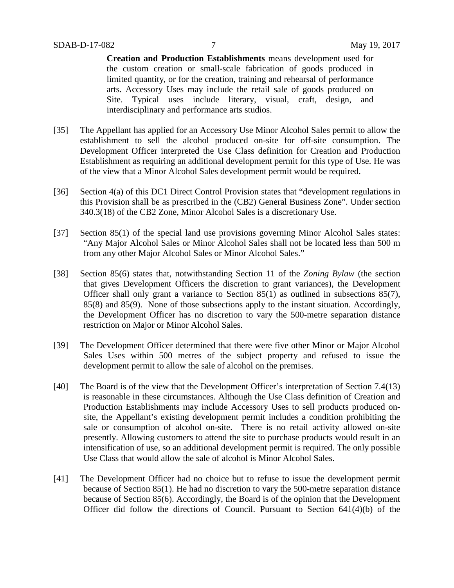**Creation and Production Establishments** means development used for the custom creation or small-scale fabrication of goods produced in limited quantity, or for the creation, training and rehearsal of performance arts. Accessory Uses may include the retail sale of goods produced on Site. Typical uses include literary, visual, craft, design, and interdisciplinary and performance arts studios.

- [35] The Appellant has applied for an Accessory Use Minor Alcohol Sales permit to allow the establishment to sell the alcohol produced on-site for off-site consumption. The Development Officer interpreted the Use Class definition for Creation and Production Establishment as requiring an additional development permit for this type of Use. He was of the view that a Minor Alcohol Sales development permit would be required.
- [36] Section 4(a) of this DC1 Direct Control Provision states that "development regulations in this Provision shall be as prescribed in the (CB2) General Business Zone". Under section 340.3(18) of the CB2 Zone, Minor Alcohol Sales is a discretionary Use.
- [37] Section 85(1) of the special land use provisions governing Minor Alcohol Sales states: "Any Major Alcohol Sales or Minor Alcohol Sales shall not be located less than 500 m from any other Major Alcohol Sales or Minor Alcohol Sales."
- [38] Section 85(6) states that, notwithstanding Section 11 of the *Zoning Bylaw* (the section that gives Development Officers the discretion to grant variances), the Development Officer shall only grant a variance to Section 85(1) as outlined in subsections 85(7), 85(8) and 85(9). None of those subsections apply to the instant situation. Accordingly, the Development Officer has no discretion to vary the 500-metre separation distance restriction on Major or Minor Alcohol Sales.
- [39] The Development Officer determined that there were five other Minor or Major Alcohol Sales Uses within 500 metres of the subject property and refused to issue the development permit to allow the sale of alcohol on the premises.
- [40] The Board is of the view that the Development Officer's interpretation of Section 7.4(13) is reasonable in these circumstances. Although the Use Class definition of Creation and Production Establishments may include Accessory Uses to sell products produced onsite, the Appellant's existing development permit includes a condition prohibiting the sale or consumption of alcohol on-site. There is no retail activity allowed on-site presently. Allowing customers to attend the site to purchase products would result in an intensification of use, so an additional development permit is required. The only possible Use Class that would allow the sale of alcohol is Minor Alcohol Sales.
- [41] The Development Officer had no choice but to refuse to issue the development permit because of Section 85(1). He had no discretion to vary the 500-metre separation distance because of Section 85(6). Accordingly, the Board is of the opinion that the Development Officer did follow the directions of Council. Pursuant to Section 641(4)(b) of the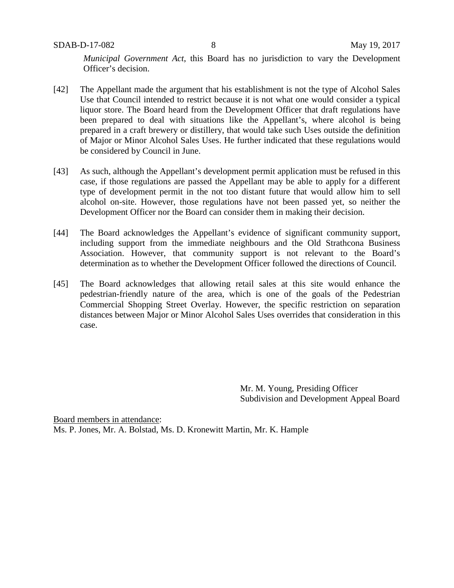*Municipal Government Act*, this Board has no jurisdiction to vary the Development Officer's decision.

- [42] The Appellant made the argument that his establishment is not the type of Alcohol Sales Use that Council intended to restrict because it is not what one would consider a typical liquor store. The Board heard from the Development Officer that draft regulations have been prepared to deal with situations like the Appellant's, where alcohol is being prepared in a craft brewery or distillery, that would take such Uses outside the definition of Major or Minor Alcohol Sales Uses. He further indicated that these regulations would be considered by Council in June.
- [43] As such, although the Appellant's development permit application must be refused in this case, if those regulations are passed the Appellant may be able to apply for a different type of development permit in the not too distant future that would allow him to sell alcohol on-site. However, those regulations have not been passed yet, so neither the Development Officer nor the Board can consider them in making their decision.
- [44] The Board acknowledges the Appellant's evidence of significant community support, including support from the immediate neighbours and the Old Strathcona Business Association. However, that community support is not relevant to the Board's determination as to whether the Development Officer followed the directions of Council*.*
- [45] The Board acknowledges that allowing retail sales at this site would enhance the pedestrian-friendly nature of the area, which is one of the goals of the Pedestrian Commercial Shopping Street Overlay. However, the specific restriction on separation distances between Major or Minor Alcohol Sales Uses overrides that consideration in this case.

Mr. M. Young, Presiding Officer Subdivision and Development Appeal Board

Board members in attendance: Ms. P. Jones, Mr. A. Bolstad, Ms. D. Kronewitt Martin, Mr. K. Hample